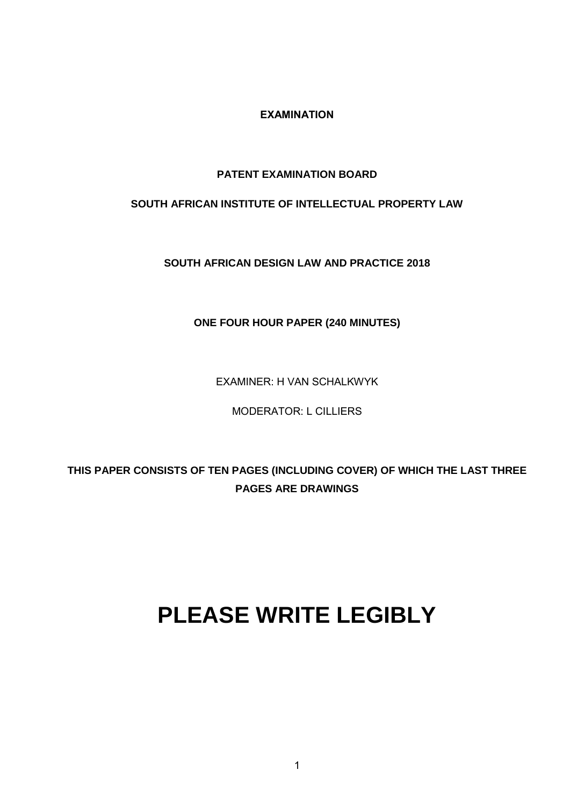**EXAMINATION**

## **PATENT EXAMINATION BOARD**

## **SOUTH AFRICAN INSTITUTE OF INTELLECTUAL PROPERTY LAW**

**SOUTH AFRICAN DESIGN LAW AND PRACTICE 2018**

**ONE FOUR HOUR PAPER (240 MINUTES)**

EXAMINER: H VAN SCHALKWYK

MODERATOR: L CILLIERS

**THIS PAPER CONSISTS OF TEN PAGES (INCLUDING COVER) OF WHICH THE LAST THREE PAGES ARE DRAWINGS**

# **PLEASE WRITE LEGIBLY**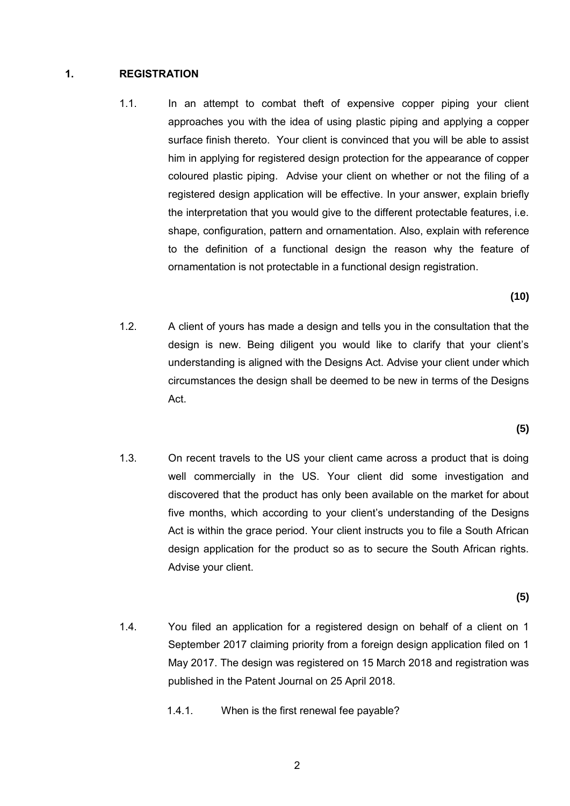#### **1. REGISTRATION**

1.1. In an attempt to combat theft of expensive copper piping your client approaches you with the idea of using plastic piping and applying a copper surface finish thereto. Your client is convinced that you will be able to assist him in applying for registered design protection for the appearance of copper coloured plastic piping. Advise your client on whether or not the filing of a registered design application will be effective. In your answer, explain briefly the interpretation that you would give to the different protectable features, i.e. shape, configuration, pattern and ornamentation. Also, explain with reference to the definition of a functional design the reason why the feature of ornamentation is not protectable in a functional design registration.

**(10)**

1.2. A client of yours has made a design and tells you in the consultation that the design is new. Being diligent you would like to clarify that your client's understanding is aligned with the Designs Act. Advise your client under which circumstances the design shall be deemed to be new in terms of the Designs Act.

**(5)**

1.3. On recent travels to the US your client came across a product that is doing well commercially in the US. Your client did some investigation and discovered that the product has only been available on the market for about five months, which according to your client's understanding of the Designs Act is within the grace period. Your client instructs you to file a South African design application for the product so as to secure the South African rights. Advise your client.

**(5)**

- 1.4. You filed an application for a registered design on behalf of a client on 1 September 2017 claiming priority from a foreign design application filed on 1 May 2017. The design was registered on 15 March 2018 and registration was published in the Patent Journal on 25 April 2018.
	- 1.4.1. When is the first renewal fee payable?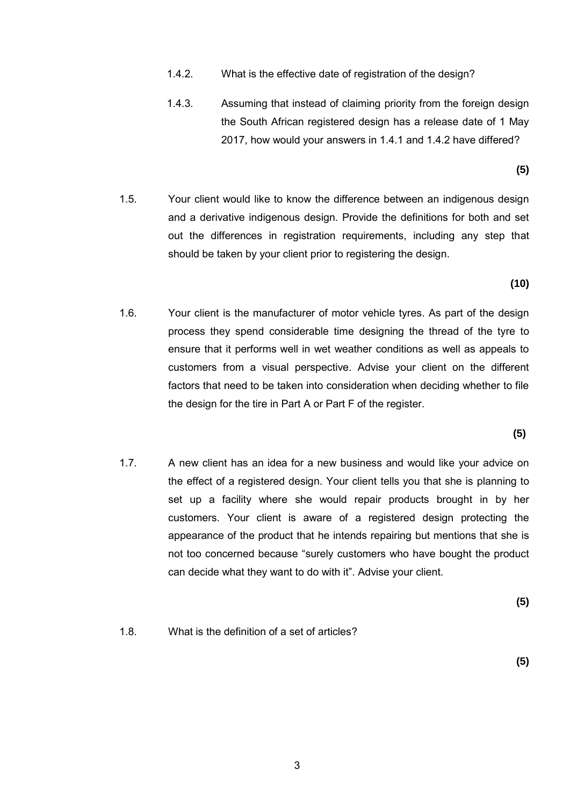- 1.4.2. What is the effective date of registration of the design?
- 1.4.3. Assuming that instead of claiming priority from the foreign design the South African registered design has a release date of 1 May 2017, how would your answers in 1.4.1 and 1.4.2 have differed?

**(5)**

1.5. Your client would like to know the difference between an indigenous design and a derivative indigenous design. Provide the definitions for both and set out the differences in registration requirements, including any step that should be taken by your client prior to registering the design.

**(10)**

1.6. Your client is the manufacturer of motor vehicle tyres. As part of the design process they spend considerable time designing the thread of the tyre to ensure that it performs well in wet weather conditions as well as appeals to customers from a visual perspective. Advise your client on the different factors that need to be taken into consideration when deciding whether to file the design for the tire in Part A or Part F of the register.

**(5)**

1.7. A new client has an idea for a new business and would like your advice on the effect of a registered design. Your client tells you that she is planning to set up a facility where she would repair products brought in by her customers. Your client is aware of a registered design protecting the appearance of the product that he intends repairing but mentions that she is not too concerned because "surely customers who have bought the product can decide what they want to do with it". Advise your client.

**(5)**

1.8. What is the definition of a set of articles?

**(5)**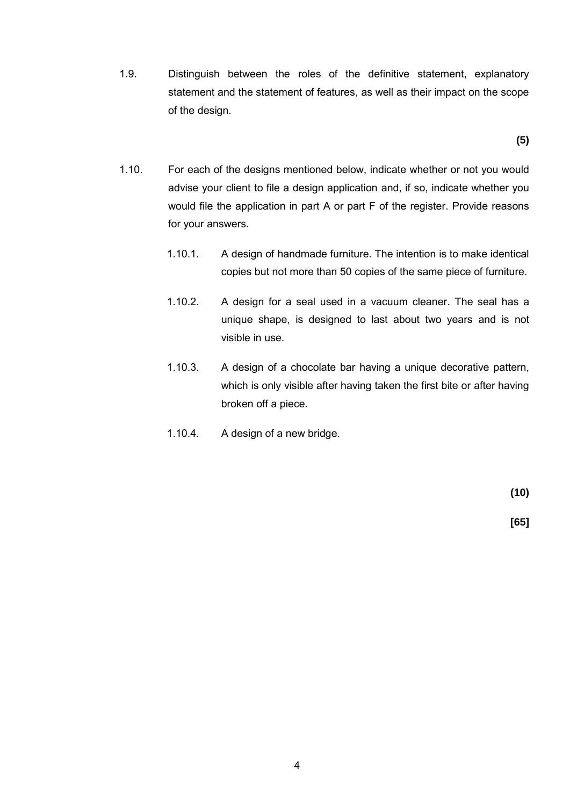1.9. Distinguish between the roles of the definitive statement, explanatory statement and the statement of features, as well as their impact on the scope of the design.

**(5)**

- 1.10. For each of the designs mentioned below, indicate whether or not you would advise your client to file a design application and, if so, indicate whether you would file the application in part A or part F of the register. Provide reasons for your answers.
	- 1.10.1. A design of handmade furniture. The intention is to make identical copies but not more than 50 copies of the same piece of furniture.
	- 1.10.2. A design for a seal used in a vacuum cleaner. The seal has a unique shape, is designed to last about two years and is not visible in use.
	- 1.10.3. A design of a chocolate bar having a unique decorative pattern, which is only visible after having taken the first bite or after having broken off a piece.
	- 1.10.4. A design of a new bridge.

**(10)**

 **[65]**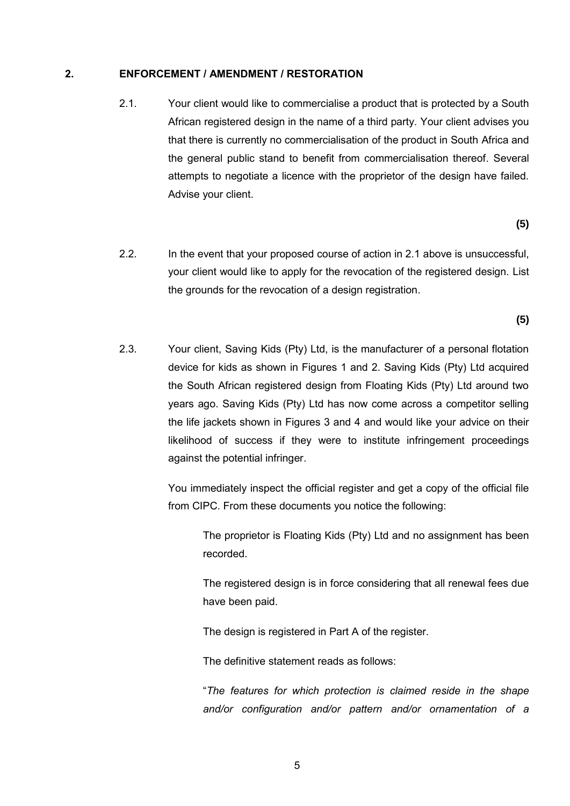#### **2. ENFORCEMENT / AMENDMENT / RESTORATION**

2.1. Your client would like to commercialise a product that is protected by a South African registered design in the name of a third party. Your client advises you that there is currently no commercialisation of the product in South Africa and the general public stand to benefit from commercialisation thereof. Several attempts to negotiate a licence with the proprietor of the design have failed. Advise your client.

**(5)** 

2.2. In the event that your proposed course of action in 2.1 above is unsuccessful, your client would like to apply for the revocation of the registered design. List the grounds for the revocation of a design registration.

**(5)**

2.3. Your client, Saving Kids (Pty) Ltd, is the manufacturer of a personal flotation device for kids as shown in Figures 1 and 2. Saving Kids (Pty) Ltd acquired the South African registered design from Floating Kids (Pty) Ltd around two years ago. Saving Kids (Pty) Ltd has now come across a competitor selling the life jackets shown in Figures 3 and 4 and would like your advice on their likelihood of success if they were to institute infringement proceedings against the potential infringer.

> You immediately inspect the official register and get a copy of the official file from CIPC. From these documents you notice the following:

The proprietor is Floating Kids (Pty) Ltd and no assignment has been recorded.

The registered design is in force considering that all renewal fees due have been paid.

The design is registered in Part A of the register.

The definitive statement reads as follows:

"*The features for which protection is claimed reside in the shape and/or configuration and/or pattern and/or ornamentation of a*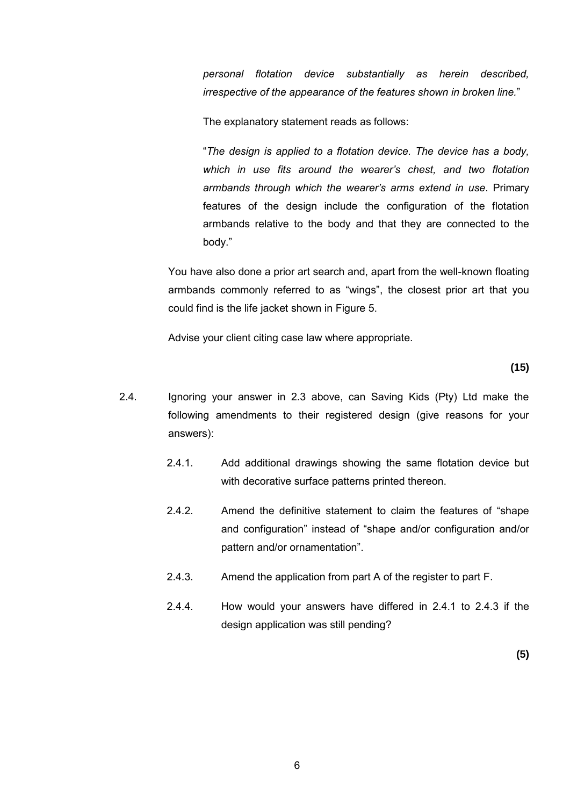*personal flotation device substantially as herein described, irrespective of the appearance of the features shown in broken line.*"

The explanatory statement reads as follows:

"*The design is applied to a flotation device. The device has a body, which in use fits around the wearer's chest, and two flotation armbands through which the wearer's arms extend in use*. Primary features of the design include the configuration of the flotation armbands relative to the body and that they are connected to the body."

You have also done a prior art search and, apart from the well-known floating armbands commonly referred to as "wings", the closest prior art that you could find is the life jacket shown in Figure 5.

Advise your client citing case law where appropriate.

**(15)**

- 2.4. Ignoring your answer in 2.3 above, can Saving Kids (Pty) Ltd make the following amendments to their registered design (give reasons for your answers):
	- 2.4.1. Add additional drawings showing the same flotation device but with decorative surface patterns printed thereon.
	- 2.4.2. Amend the definitive statement to claim the features of "shape and configuration" instead of "shape and/or configuration and/or pattern and/or ornamentation".
	- 2.4.3. Amend the application from part A of the register to part F.
	- 2.4.4. How would your answers have differed in 2.4.1 to 2.4.3 if the design application was still pending?

**(5)**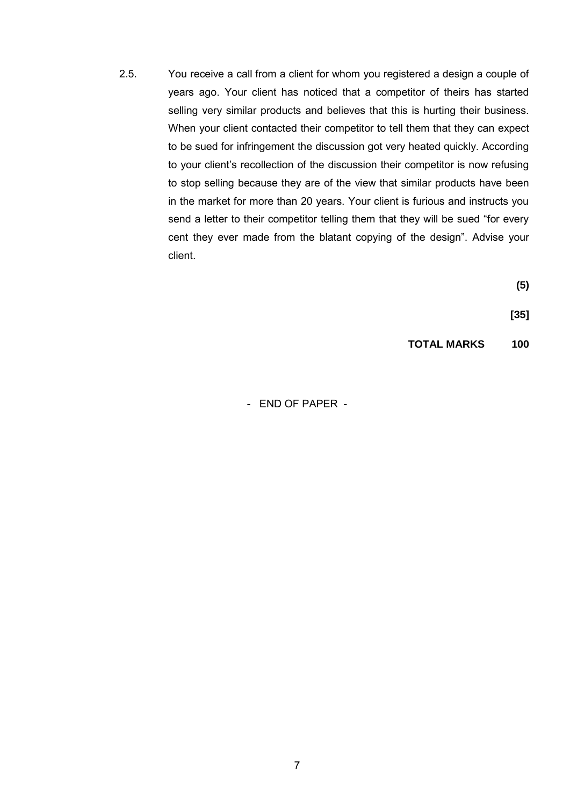2.5. You receive a call from a client for whom you registered a design a couple of years ago. Your client has noticed that a competitor of theirs has started selling very similar products and believes that this is hurting their business. When your client contacted their competitor to tell them that they can expect to be sued for infringement the discussion got very heated quickly. According to your client's recollection of the discussion their competitor is now refusing to stop selling because they are of the view that similar products have been in the market for more than 20 years. Your client is furious and instructs you send a letter to their competitor telling them that they will be sued "for every cent they ever made from the blatant copying of the design". Advise your client.

**(5)**

**[35]**

**TOTAL MARKS 100**

- END OF PAPER -

7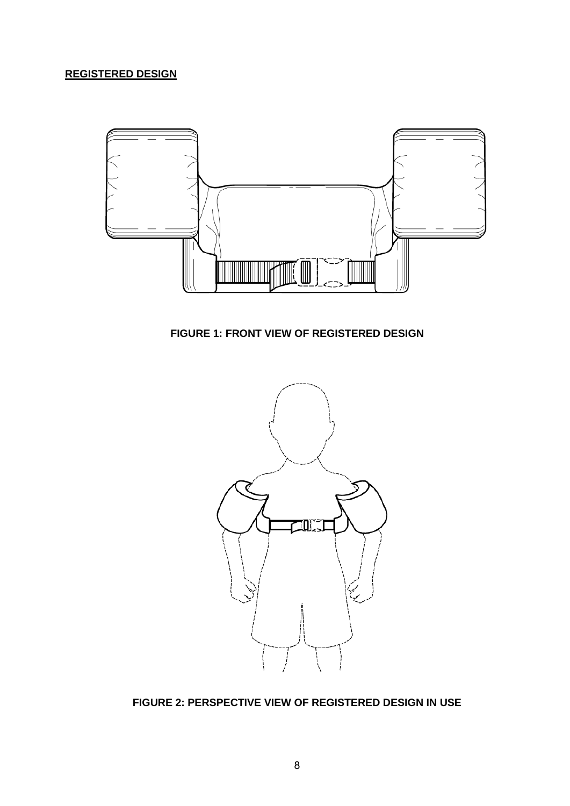# **REGISTERED DESIGN**



**FIGURE 1: FRONT VIEW OF REGISTERED DESIGN**



**FIGURE 2: PERSPECTIVE VIEW OF REGISTERED DESIGN IN USE**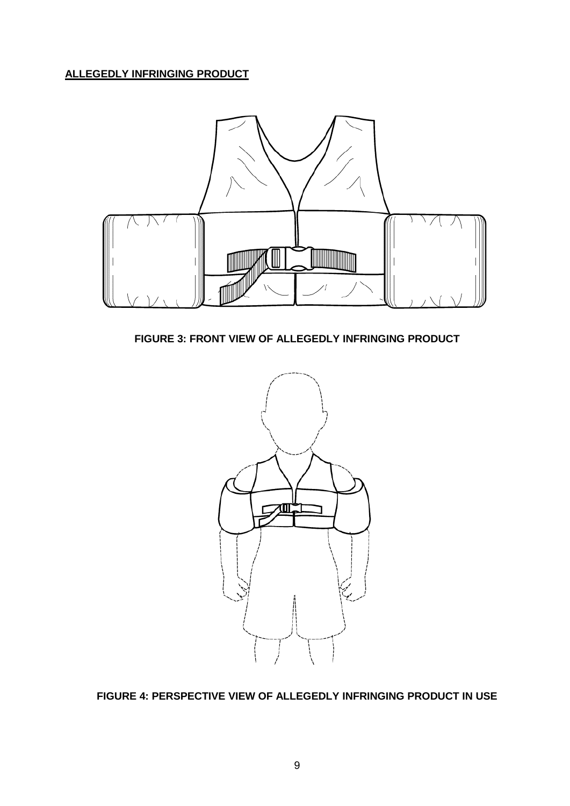**ALLEGEDLY INFRINGING PRODUCT**



**FIGURE 3: FRONT VIEW OF ALLEGEDLY INFRINGING PRODUCT**



**FIGURE 4: PERSPECTIVE VIEW OF ALLEGEDLY INFRINGING PRODUCT IN USE**